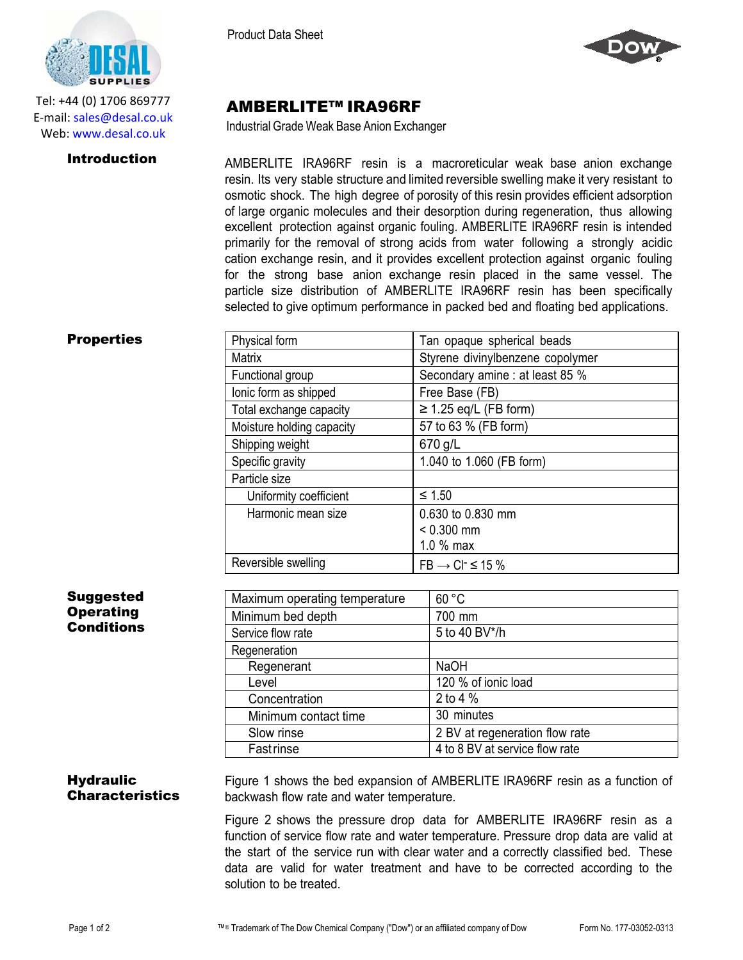

Tel: +44 (0) 1706 869777 E‐mail: sales@desal.co.uk Web: www.desal.co.uk

Product Data Sheet



# AMBERLITE™ IRA96RF

Industrial Grade Weak Base Anion Exchanger

**Introduction** AMBERLITE IRA96RF resin is a macroreticular weak base anion exchange resin. Its very stable structure and limited reversible swelling make it very resistant to osmotic shock. The high degree of porosity of this resin provides efficient adsorption of large organic molecules and their desorption during regeneration, thus allowing excellent protection against organic fouling. AMBERLITE IRA96RF resin is intended primarily for the removal of strong acids from water following a strongly acidic cation exchange resin, and it provides excellent protection against organic fouling for the strong base anion exchange resin placed in the same vessel. The particle size distribution of AMBERLITE IRA96RF resin has been specifically selected to give optimum performance in packed bed and floating bed applications.

## **Properties**

| Physical form             | Tan opaque spherical beads        |
|---------------------------|-----------------------------------|
| <b>Matrix</b>             | Styrene divinylbenzene copolymer  |
| Functional group          | Secondary amine : at least 85 %   |
| lonic form as shipped     | Free Base (FB)                    |
| Total exchange capacity   | $\geq$ 1.25 eq/L (FB form)        |
| Moisture holding capacity | 57 to 63 % (FB form)              |
| Shipping weight           | 670 g/L                           |
| Specific gravity          | 1.040 to 1.060 (FB form)          |
| Particle size             |                                   |
| Uniformity coefficient    | $≤ 1.50$                          |
| Harmonic mean size        | 0.630 to 0.830 mm                 |
|                           | $< 0.300$ mm                      |
|                           | $1.0%$ max                        |
| Reversible swelling       | $FB \rightarrow CI^{-} \leq 15\%$ |

### **Suggested Operating Conditions**

| Maximum operating temperature | 60 °C                          |
|-------------------------------|--------------------------------|
| Minimum bed depth             | 700 mm                         |
| Service flow rate             | 5 to 40 BV*/h                  |
| Regeneration                  |                                |
| Regenerant                    | <b>NaOH</b>                    |
| Level                         | 120 % of ionic load            |
| Concentration                 | 2 to 4 %                       |
| Minimum contact time          | 30 minutes                     |
| Slow rinse                    | 2 BV at regeneration flow rate |
| <b>Fastrinse</b>              | 4 to 8 BV at service flow rate |

#### **Hydraulic** Characteristics Figure 1 shows the bed expansion of AMBERLITE IRA96RF resin as a function of backwash flow rate and water temperature.

Figure 2 shows the pressure drop data for AMBERLITE IRA96RF resin as a function of service flow rate and water temperature. Pressure drop data are valid at the start of the service run with clear water and a correctly classified bed. These data are valid for water treatment and have to be corrected according to the solution to be treated.